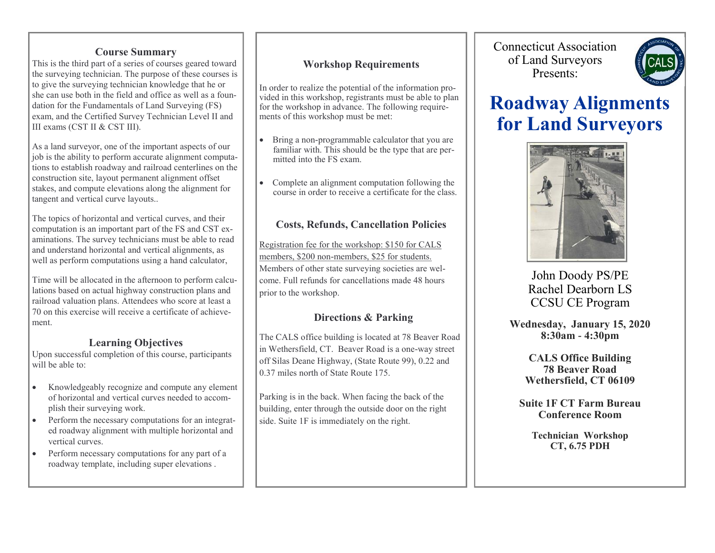#### **Course Summary**

This is the third part of a series of courses geared toward the surveying technician. The purpose of these courses is to give the surveying technician knowledge that he or she can use both in the field and office as well as a foundation for the Fundamentals of Land Surveying (FS) exam, and the Certified Survey Technician Level II and III exams (CST II & CST III).

As a land surveyor, one of the important aspects of our job is the ability to perform accurate alignment computations to establish roadway and railroad centerlines on the construction site, layout permanent alignment offset stakes, and compute elevations along the alignment for tangent and vertical curve layouts..

The topics of horizontal and vertical curves, and their computation is an important part of the FS and CST examinations. The survey technicians must be able to read and understand horizontal and vertical alignments, as well as perform computations using a hand calculator,

Time will be allocated in the afternoon to perform calculations based on actual highway construction plans and railroad valuation plans. Attendees who score at least a 70 on this exercise will receive a certificate of achievement.

# **Learning Objectives**

Upon successful completion of this course, participants will be able to:

- Knowledgeably recognize and compute any element of horizontal and vertical curves needed to accomplish their surveying work.
- Perform the necessary computations for an integrated roadway alignment with multiple horizontal and vertical curves.
- Perform necessary computations for any part of a roadway template, including super elevations .

# **Workshop Requirements**

In order to realize the potential of the information provided in this workshop, registrants must be able to plan for the workshop in advance. The following requirements of this workshop must be met:

- Bring a non-programmable calculator that you are familiar with. This should be the type that are per mitted into the FS exam.
- Complete an alignment computation following the course in order to receive a certificate for the class.

### **Costs, Refunds, Cancellation Policies**

Registration fee for the workshop: \$150 for CALS members, \$200 non-members, \$25 for students. Members of other state surveying societies are welcome. Full refunds for cancellations made 48 hours prior to the workshop.

# **Directions & Parking**

The CALS office building is located at 78 Beaver Road in Wethersfield, CT. Beaver Road is a one-way street off Silas Deane Highway, (State Route 99), 0.22 and 0.37 miles north of State Route 175.

Parking is in the back. When facing the back of the building, enter through the outside door on the right side. Suite 1F is immediately on the right.

Connecticut Association of Land Surveyors Presents:



# **Roadway Alignments for Land Surveyors**



John Doody PS/PE Rachel Dearborn LS CCSU CE Program

**Wednesday, January 15, 2020 8:30am - 4:30pm**

> **CALS Office Building 78 Beaver Road Wethersfield, CT 06109**

**Suite 1F CT Farm Bureau Conference Room**

**Technician Workshop CT, 6.75 PDH**